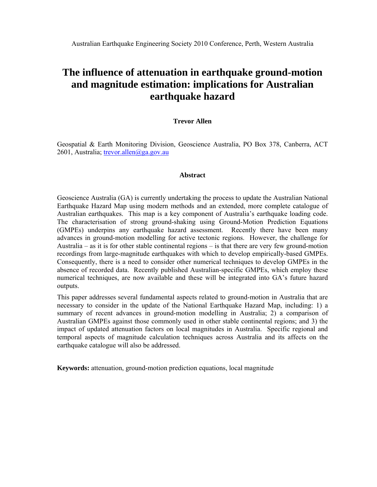# **The influence of attenuation in earthquake ground-motion and magnitude estimation: implications for Australian earthquake hazard**

### **Trevor Allen**

Geospatial & Earth Monitoring Division, Geoscience Australia, PO Box 378, Canberra, ACT 2601, Australia; trevor.allen@ga.gov.au

#### **Abstract**

Geoscience Australia (GA) is currently undertaking the process to update the Australian National Earthquake Hazard Map using modern methods and an extended, more complete catalogue of Australian earthquakes. This map is a key component of Australia's earthquake loading code. The characterisation of strong ground-shaking using Ground-Motion Prediction Equations (GMPEs) underpins any earthquake hazard assessment. Recently there have been many advances in ground-motion modelling for active tectonic regions. However, the challenge for Australia – as it is for other stable continental regions – is that there are very few ground-motion recordings from large-magnitude earthquakes with which to develop empirically-based GMPEs. Consequently, there is a need to consider other numerical techniques to develop GMPEs in the absence of recorded data. Recently published Australian-specific GMPEs, which employ these numerical techniques, are now available and these will be integrated into GA's future hazard outputs.

This paper addresses several fundamental aspects related to ground-motion in Australia that are necessary to consider in the update of the National Earthquake Hazard Map, including: 1) a summary of recent advances in ground-motion modelling in Australia; 2) a comparison of Australian GMPEs against those commonly used in other stable continental regions; and 3) the impact of updated attenuation factors on local magnitudes in Australia. Specific regional and temporal aspects of magnitude calculation techniques across Australia and its affects on the earthquake catalogue will also be addressed.

**Keywords:** attenuation, ground-motion prediction equations, local magnitude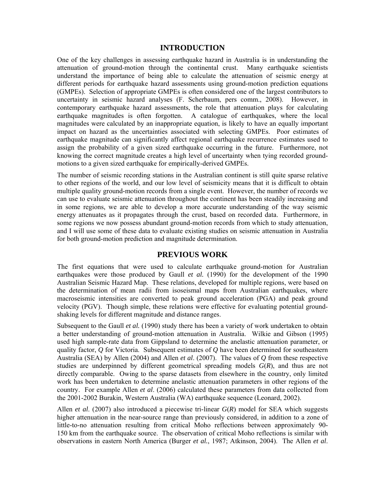### **INTRODUCTION**

One of the key challenges in assessing earthquake hazard in Australia is in understanding the attenuation of ground-motion through the continental crust. Many earthquake scientists understand the importance of being able to calculate the attenuation of seismic energy at different periods for earthquake hazard assessments using ground-motion prediction equations (GMPEs). Selection of appropriate GMPEs is often considered one of the largest contributors to uncertainty in seismic hazard analyses (F. Scherbaum, pers comm., 2008). However, in contemporary earthquake hazard assessments, the role that attenuation plays for calculating earthquake magnitudes is often forgotten. A catalogue of earthquakes, where the local magnitudes were calculated by an inappropriate equation, is likely to have an equally important impact on hazard as the uncertainties associated with selecting GMPEs. Poor estimates of earthquake magnitude can significantly affect regional earthquake recurrence estimates used to assign the probability of a given sized earthquake occurring in the future. Furthermore, not knowing the correct magnitude creates a high level of uncertainty when tying recorded groundmotions to a given sized earthquake for empirically-derived GMPEs.

The number of seismic recording stations in the Australian continent is still quite sparse relative to other regions of the world, and our low level of seismicity means that it is difficult to obtain multiple quality ground-motion records from a single event. However, the number of records we can use to evaluate seismic attenuation throughout the continent has been steadily increasing and in some regions, we are able to develop a more accurate understanding of the way seismic energy attenuates as it propagates through the crust, based on recorded data. Furthermore, in some regions we now possess abundant ground-motion records from which to study attenuation, and I will use some of these data to evaluate existing studies on seismic attenuation in Australia for both ground-motion prediction and magnitude determination.

### **PREVIOUS WORK**

The first equations that were used to calculate earthquake ground-motion for Australian earthquakes were those produced by Gaull *et al.* (1990) for the development of the 1990 Australian Seismic Hazard Map. These relations, developed for multiple regions, were based on the determination of mean radii from isoseismal maps from Australian earthquakes, where macroseismic intensities are converted to peak ground acceleration (PGA) and peak ground velocity (PGV). Though simple, these relations were effective for evaluating potential groundshaking levels for different magnitude and distance ranges.

Subsequent to the Gaull *et al.* (1990) study there has been a variety of work undertaken to obtain a better understanding of ground-motion attenuation in Australia. Wilkie and Gibson (1995) used high sample-rate data from Gippsland to determine the anelastic attenuation parameter, or quality factor, *Q* for Victoria. Subsequent estimates of *Q* have been determined for southeastern Australia (SEA) by Allen (2004) and Allen *et al*. (2007). The values of *Q* from these respective studies are underpinned by different geometrical spreading models *G*(*R*), and thus are not directly comparable. Owing to the sparse datasets from elsewhere in the country, only limited work has been undertaken to determine anelastic attenuation parameters in other regions of the country. For example Allen *et al*. (2006) calculated these parameters from data collected from the 2001-2002 Burakin, Western Australia (WA) earthquake sequence (Leonard, 2002).

Allen *et al*. (2007) also introduced a piecewise tri-linear *G*(*R*) model for SEA which suggests higher attenuation in the near-source range than previously considered, in addition to a zone of little-to-no attenuation resulting from critical Moho reflections between approximately 90- 150 km from the earthquake source. The observation of critical Moho reflections is similar with observations in eastern North America (Burger *et al.*, 1987; Atkinson, 2004). The Allen *et al*.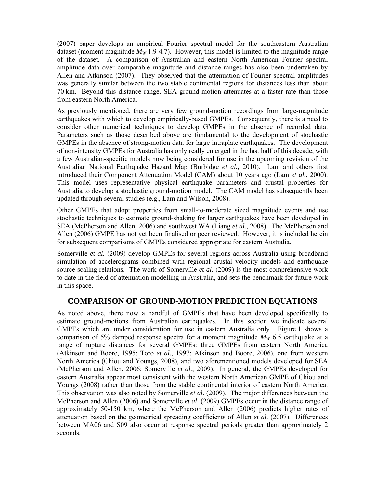(2007) paper develops an empirical Fourier spectral model for the southeastern Australian dataset (moment magnitude  $M_W$  1.9-4.7). However, this model is limited to the magnitude range of the dataset. A comparison of Australian and eastern North American Fourier spectral amplitude data over comparable magnitude and distance ranges has also been undertaken by Allen and Atkinson (2007). They observed that the attenuation of Fourier spectral amplitudes was generally similar between the two stable continental regions for distances less than about 70 km. Beyond this distance range, SEA ground-motion attenuates at a faster rate than those from eastern North America.

As previously mentioned, there are very few ground-motion recordings from large-magnitude earthquakes with which to develop empirically-based GMPEs. Consequently, there is a need to consider other numerical techniques to develop GMPEs in the absence of recorded data. Parameters such as those described above are fundamental to the development of stochastic GMPEs in the absence of strong-motion data for large intraplate earthquakes. The development of non-intensity GMPEs for Australia has only really emerged in the last half of this decade, with a few Australian-specific models now being considered for use in the upcoming revision of the Australian National Earthquake Hazard Map (Burbidge *et al.*, 2010). Lam and others first introduced their Component Attenuation Model (CAM) about 10 years ago (Lam *et al.*, 2000). This model uses representative physical earthquake parameters and crustal properties for Australia to develop a stochastic ground-motion model. The CAM model has subsequently been updated through several studies (e.g., Lam and Wilson, 2008).

Other GMPEs that adopt properties from small-to-moderate sized magnitude events and use stochastic techniques to estimate ground-shaking for larger earthquakes have been developed in SEA (McPherson and Allen, 2006) and southwest WA (Liang *et al.*, 2008). The McPherson and Allen (2006) GMPE has not yet been finalised or peer reviewed. However, it is included herein for subsequent comparisons of GMPEs considered appropriate for eastern Australia.

Somerville *et al.* (2009) develop GMPEs for several regions across Australia using broadband simulation of accelerograms combined with regional crustal velocity models and earthquake source scaling relations. The work of Somerville *et al.* (2009) is the most comprehensive work to date in the field of attenuation modelling in Australia, and sets the benchmark for future work in this space.

## **COMPARISON OF GROUND-MOTION PREDICTION EQUATIONS**

As noted above, there now a handful of GMPEs that have been developed specifically to estimate ground-motions from Australian earthquakes. In this section we indicate several GMPEs which are under consideration for use in eastern Australia only. Figure 1 shows a comparison of 5% damped response spectra for a moment magnitude  $M_W$  6.5 earthquake at a range of rupture distances for several GMPEs: three GMPEs from eastern North America (Atkinson and Boore, 1995; Toro *et al.*, 1997; Atkinson and Boore, 2006), one from western North America (Chiou and Youngs, 2008), and two aforementioned models developed for SEA (McPherson and Allen, 2006; Somerville *et al.*, 2009). In general, the GMPEs developed for eastern Australia appear most consistent with the western North American GMPE of Chiou and Youngs (2008) rather than those from the stable continental interior of eastern North America. This observation was also noted by Somerville *et al*. (2009). The major differences between the McPherson and Allen (2006) and Somerville *et al*. (2009) GMPEs occur in the distance range of approximately 50-150 km, where the McPherson and Allen (2006) predicts higher rates of attenuation based on the geometrical spreading coefficients of Allen *et al*. (2007). Differences between MA06 and S09 also occur at response spectral periods greater than approximately 2 seconds.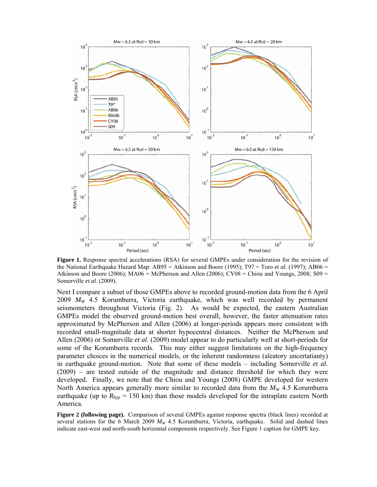

**Figure 1.** Response spectral accelerations (RSA) for several GMPEs under consideration for the revision of the National Earthquake Hazard Map: AB95 = Atkinson and Boore (1995); T97 = Toro *et al.* (1997); AB06 = Atkinson and Boore (2006); MA06 = McPherson and Allen (2006); CY08 = Chiou and Youngs, 2008; S09 = Somerville *et al*. (2009).

Next I compare a subset of those GMPEs above to recorded ground-motion data from the 6 April 2009 *MW* 4.5 Korumburra, Victoria earthquake, which was well recorded by permanent seismometers throughout Victoria (Fig. 2). As would be expected, the eastern Australian GMPEs model the observed ground-motion best overall, however, the faster attenuation rates approximated by McPherson and Allen (2006) at longer-periods appears more consistent with recorded small-magnitude data at shorter hypocentral distances. Neither the McPherson and Allen (2006) or Somerville *et al*. (2009) model appear to do particularly well at short-periods for some of the Korumburra records. This may either suggest limitations on the high-frequency parameter choices in the numerical models, or the inherent randomness (aleatory uncertatianty) in earthquake ground-motion. Note that some of these models – including Somerville *et al*. (2009) – are tested outside of the magnitude and distance threshold for which they were developed. Finally, we note that the Chiou and Youngs (2008) GMPE developed for western North America appears generally more similar to recorded data from the  $M_W$  4.5 Korumburra earthquake (up to  $R_{hyp} = 150 \text{ km}$ ) than those models developed for the intraplate eastern North America.

**Figure 2 (following page).** Comparison of several GMPEs against response spectra (black lines) recorded at several stations for the 6 March 2009  $M_W$  4.5 Korumburra, Victoria, earthquake. Solid and dashed lines indicate east-west and north-south horizontal components respectively. See Figure 1 caption for GMPE key.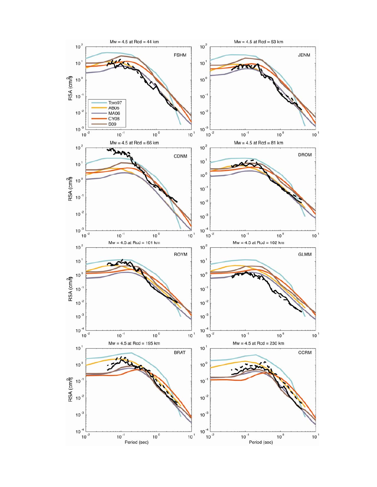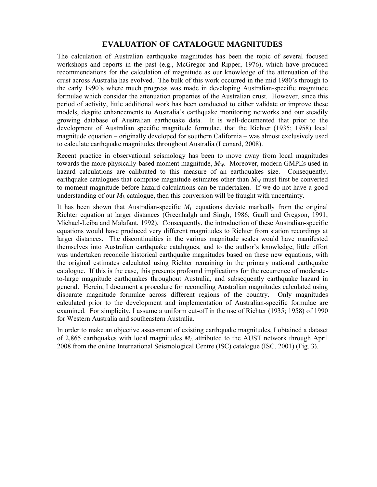### **EVALUATION OF CATALOGUE MAGNITUDES**

The calculation of Australian earthquake magnitudes has been the topic of several focused workshops and reports in the past (e.g., McGregor and Ripper, 1976), which have produced recommendations for the calculation of magnitude as our knowledge of the attenuation of the crust across Australia has evolved. The bulk of this work occurred in the mid 1980's through to the early 1990's where much progress was made in developing Australian-specific magnitude formulae which consider the attenuation properties of the Australian crust. However, since this period of activity, little additional work has been conducted to either validate or improve these models, despite enhancements to Australia's earthquake monitoring networks and our steadily growing database of Australian earthquake data. It is well-documented that prior to the development of Australian specific magnitude formulae, that the Richter (1935; 1958) local magnitude equation – originally developed for southern California – was almost exclusively used to calculate earthquake magnitudes throughout Australia (Leonard, 2008).

Recent practice in observational seismology has been to move away from local magnitudes towards the more physically-based moment magnitude,  $M_W$ . Moreover, modern GMPEs used in hazard calculations are calibrated to this measure of an earthquakes size. Consequently, earthquake catalogues that comprise magnitude estimates other than  $M_W$  must first be converted to moment magnitude before hazard calculations can be undertaken. If we do not have a good understanding of our *ML* catalogue, then this conversion will be fraught with uncertainty.

It has been shown that Australian-specific  $M<sub>L</sub>$  equations deviate markedly from the original Richter equation at larger distances (Greenhalgh and Singh, 1986; Gaull and Gregson, 1991; Michael-Leiba and Malafant, 1992). Consequently, the introduction of these Australian-specific equations would have produced very different magnitudes to Richter from station recordings at larger distances. The discontinuities in the various magnitude scales would have manifested themselves into Australian earthquake catalogues, and to the author's knowledge, little effort was undertaken reconcile historical earthquake magnitudes based on these new equations, with the original estimates calculated using Richter remaining in the primary national earthquake catalogue. If this is the case, this presents profound implications for the recurrence of moderateto-large magnitude earthquakes throughout Australia, and subsequently earthquake hazard in general. Herein, I document a procedure for reconciling Australian magnitudes calculated using disparate magnitude formulae across different regions of the country. Only magnitudes calculated prior to the development and implementation of Australian-specific formulae are examined. For simplicity, I assume a uniform cut-off in the use of Richter (1935; 1958) of 1990 for Western Australia and southeastern Australia.

In order to make an objective assessment of existing earthquake magnitudes, I obtained a dataset of 2,865 earthquakes with local magnitudes *ML* attributed to the AUST network through April 2008 from the online International Seismological Centre (ISC) catalogue (ISC, 2001) (Fig. 3).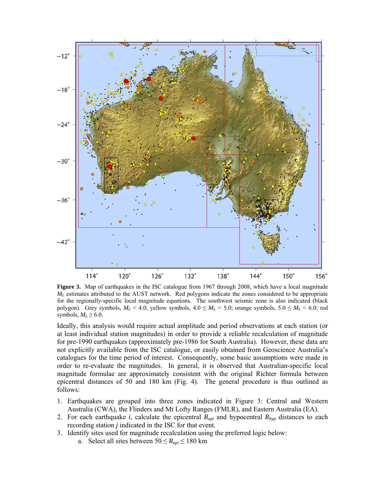

**Figure 3.** Map of earthquakes in the ISC catalogue from 1967 through 2008, which have a local magnitude *M<sub>L</sub>* estimates attributed to the AUST network. Red polygons indicate the zones considered to be appropriate for the regionally-specific local magnitude equations. The southwest seismic zone is also indicated (black polygon). Grey symbols,  $M_L < 4.0$ ; yellow symbols,  $4.0 \le M_L < 5.0$ ; orange symbols,  $5.0 \le M_L < 6.0$ ; red symbols,  $M_L \geq 6.0$ .

Ideally, this analysis would require actual amplitude and period observations at each station (or at least individual station magnitudes) in order to provide a reliable recalculation of magnitude for pre-1990 earthquakes (approximately pre-1986 for South Australia). However, these data are not explicitly available from the ISC catalogue, or easily obtained from Geoscience Australia's catalogues for the time period of interest. Consequently, some basic assumptions were made in order to re-evaluate the magnitudes. In general, it is observed that Australian-specific local magnitude formulae are approximately consistent with the original Richter formula between epicentral distances of 50 and 180 km (Fig. 4). The general procedure is thus outlined as follows:

- 1. Earthquakes are grouped into three zones indicated in Figure 3: Central and Western Australia (CWA), the Flinders and Mt Lofty Ranges (FMLR), and Eastern Australia (EA).
- 2. For each earthquake *i*, calculate the epicentral  $R_{epi}$  and hypocentral  $R_{hyp}$  distances to each recording station *j* indicated in the ISC for that event.
- 3. Identify sites used for magnitude recalculation using the preferred logic below:
	- a. Select all sites between  $50 \le R_{epi} \le 180$  km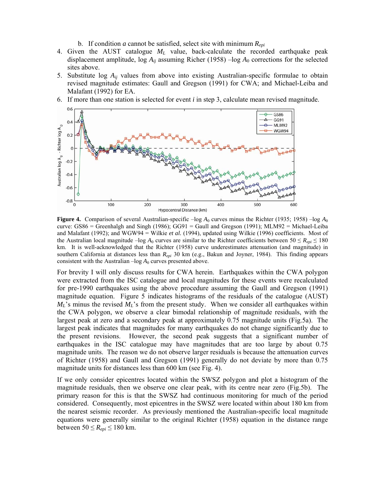b. If condition *a* cannot be satisfied, select site with minimum *Repi*

- 4. Given the AUST catalogue *ML* value, back-calculate the recorded earthquake peak displacement amplitude,  $\log A_{ij}$  assuming Richer (1958) –log  $A_0$  corrections for the selected sites above.
- 5. Substitute log *Aij* values from above into existing Australian-specific formulae to obtain revised magnitude estimates: Gaull and Gregson (1991) for CWA; and Michael-Leiba and Malafant (1992) for EA.
- 6. If more than one station is selected for event *i* in step 3, calculate mean revised magnitude.



**Figure 4.** Comparison of several Australian-specific  $-\log A_0$  curves minus the Richter (1935; 1958)  $-\log A_0$ curve: GS86 = Greenhalgh and Singh (1986); GG91 = Gaull and Gregson (1991); MLM92 = Michael-Leiba and Malafant (1992); and WGW94 = Wilkie *et al.* (1994), updated using Wilkie (1996) coefficients. Most of the Australian local magnitude –log  $A_0$  curves are similar to the Richter coefficients between  $50 \le R_{epi} \le 180$ km. It is well-acknowledged that the Richter (1958) curve underestimates attenuation (and magnitude) in southern California at distances less than *Repi* 30 km (e.g., Bakun and Joyner, 1984). This finding appears consistent with the Australian  $-\log A_0$  curves presented above.

For brevity I will only discuss results for CWA herein. Earthquakes within the CWA polygon were extracted from the ISC catalogue and local magnitudes for these events were recalculated for pre-1990 earthquakes using the above procedure assuming the Gaull and Gregson (1991) magnitude equation. Figure 5 indicates histograms of the residuals of the catalogue (AUST)  $M_L$ 's minus the revised  $M_L$ 's from the present study. When we consider all earthquakes within the CWA polygon, we observe a clear bimodal relationship of magnitude residuals, with the largest peak at zero and a secondary peak at approximately 0.75 magnitude units (Fig.5a). The largest peak indicates that magnitudes for many earthquakes do not change significantly due to the present revisions. However, the second peak suggests that a significant number of earthquakes in the ISC catalogue may have magnitudes that are too large by about 0.75 magnitude units. The reason we do not observe larger residuals is because the attenuation curves of Richter (1958) and Gaull and Gregson (1991) generally do not deviate by more than 0.75 magnitude units for distances less than 600 km (see Fig. 4).

If we only consider epicentres located within the SWSZ polygon and plot a histogram of the magnitude residuals, then we observe one clear peak, with its centre near zero (Fig.5b). The primary reason for this is that the SWSZ had continuous monitoring for much of the period considered. Consequently, most epicentres in the SWSZ were located within about 180 km from the nearest seismic recorder. As previously mentioned the Australian-specific local magnitude equations were generally similar to the original Richter (1958) equation in the distance range between  $50 \le R_{epi} \le 180$  km.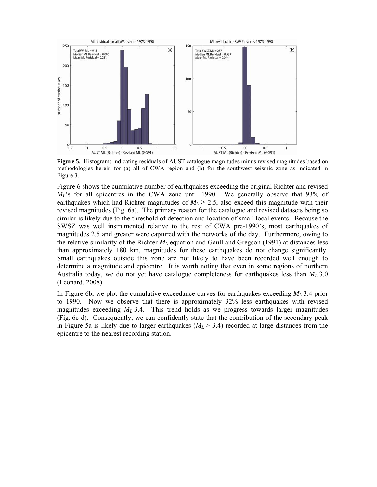

**Figure 5.** Histograms indicating residuals of AUST catalogue magnitudes minus revised magnitudes based on methodologies herein for (a) all of CWA region and (b) for the southwest seismic zone as indicated in Figure 3.

Figure 6 shows the cumulative number of earthquakes exceeding the original Richter and revised  $M<sub>L</sub>$ 's for all epicentres in the CWA zone until 1990. We generally observe that 93% of earthquakes which had Richter magnitudes of  $M_L \geq 2.5$ , also exceed this magnitude with their revised magnitudes (Fig. 6a). The primary reason for the catalogue and revised datasets being so similar is likely due to the threshold of detection and location of small local events. Because the SWSZ was well instrumented relative to the rest of CWA pre-1990's, most earthquakes of magnitudes 2.5 and greater were captured with the networks of the day. Furthermore, owing to the relative similarity of the Richter *ML* equation and Gaull and Gregson (1991) at distances less than approximately 180 km, magnitudes for these earthquakes do not change significantly. Small earthquakes outside this zone are not likely to have been recorded well enough to determine a magnitude and epicentre. It is worth noting that even in some regions of northern Australia today, we do not yet have catalogue completeness for earthquakes less than  $M<sub>L</sub>$  3.0 (Leonard, 2008).

In Figure 6b, we plot the cumulative exceedance curves for earthquakes exceeding *ML* 3.4 prior to 1990. Now we observe that there is approximately 32% less earthquakes with revised magnitudes exceeding  $M_L$  3.4. This trend holds as we progress towards larger magnitudes (Fig. 6c-d). Consequently, we can confidently state that the contribution of the secondary peak in Figure 5a is likely due to larger earthquakes  $(M_L > 3.4)$  recorded at large distances from the epicentre to the nearest recording station.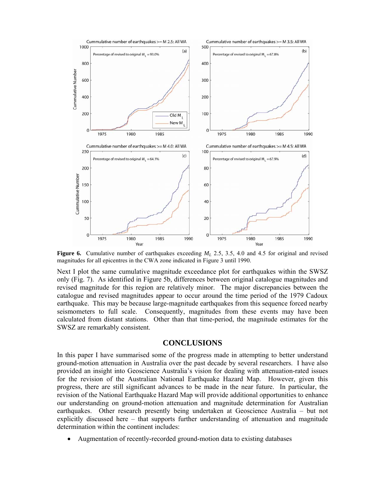

**Figure 6.** Cumulative number of earthquakes exceeding  $M<sub>L</sub>$  2.5, 3.5, 4.0 and 4.5 for original and revised magnitudes for all epicentres in the CWA zone indicated in Figure 3 until 1990.

Next I plot the same cumulative magnitude exceedance plot for earthquakes within the SWSZ only (Fig. 7). As identified in Figure 5b, differences between original catalogue magnitudes and revised magnitude for this region are relatively minor. The major discrepancies between the catalogue and revised magnitudes appear to occur around the time period of the 1979 Cadoux earthquake. This may be because large-magnitude earthquakes from this sequence forced nearby seismometers to full scale. Consequently, magnitudes from these events may have been calculated from distant stations. Other than that time-period, the magnitude estimates for the SWSZ are remarkably consistent.

### **CONCLUSIONS**

In this paper I have summarised some of the progress made in attempting to better understand ground-motion attenuation in Australia over the past decade by several researchers. I have also provided an insight into Geoscience Australia's vision for dealing with attenuation-rated issues for the revision of the Australian National Earthquake Hazard Map. However, given this progress, there are still significant advances to be made in the near future. In particular, the revision of the National Earthquake Hazard Map will provide additional opportunities to enhance our understanding on ground-motion attenuation and magnitude determination for Australian earthquakes. Other research presently being undertaken at Geoscience Australia – but not explicitly discussed here – that supports further understanding of attenuation and magnitude determination within the continent includes:

• Augmentation of recently-recorded ground-motion data to existing databases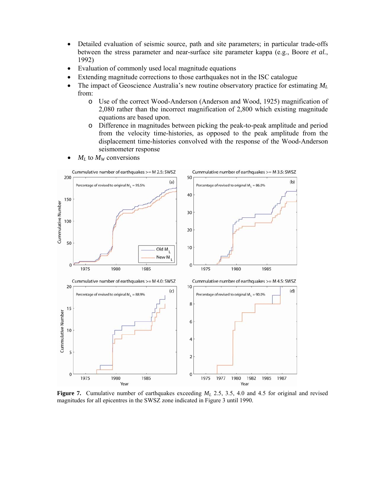- Detailed evaluation of seismic source, path and site parameters; in particular trade-offs between the stress parameter and near-surface site parameter kappa (e.g., Boore *et al.*, 1992)
- Evaluation of commonly used local magnitude equations
- Extending magnitude corrections to those earthquakes not in the ISC catalogue
- The impact of Geoscience Australia's new routine observatory practice for estimating  $M_L$ from:
	- o Use of the correct Wood-Anderson (Anderson and Wood, 1925) magnification of 2,080 rather than the incorrect magnification of 2,800 which existing magnitude equations are based upon.
	- o Difference in magnitudes between picking the peak-to-peak amplitude and period from the velocity time-histories, as opposed to the peak amplitude from the displacement time-histories convolved with the response of the Wood-Anderson seismometer response
- $M_L$  to  $M_W$  conversions



**Figure 7.** Cumulative number of earthquakes exceeding  $M<sub>L</sub>$  2.5, 3.5, 4.0 and 4.5 for original and revised magnitudes for all epicentres in the SWSZ zone indicated in Figure 3 until 1990.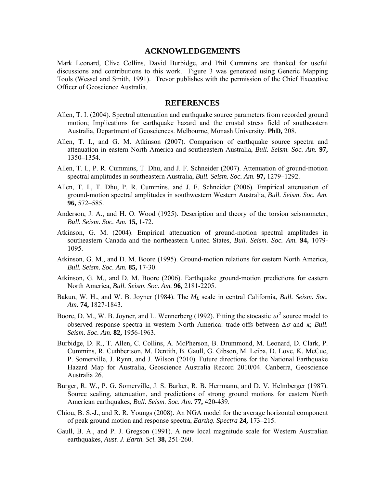#### **ACKNOWLEDGEMENTS**

Mark Leonard, Clive Collins, David Burbidge, and Phil Cummins are thanked for useful discussions and contributions to this work. Figure 3 was generated using Generic Mapping Tools (Wessel and Smith, 1991). Trevor publishes with the permission of the Chief Executive Officer of Geoscience Australia.

### **REFERENCES**

- Allen, T. I. (2004). Spectral attenuation and earthquake source parameters from recorded ground motion; Implications for earthquake hazard and the crustal stress field of southeastern Australia, Department of Geosciences. Melbourne, Monash University. **PhD,** 208.
- Allen, T. I., and G. M. Atkinson (2007). Comparison of earthquake source spectra and attenuation in eastern North America and southeastern Australia, *Bull. Seism. Soc. Am.* **97,** 1350–1354.
- Allen, T. I., P. R. Cummins, T. Dhu, and J. F. Schneider (2007). Attenuation of ground-motion spectral amplitudes in southeastern Australia, *Bull. Seism. Soc. Am.* **97,** 1279–1292.
- Allen, T. I., T. Dhu, P. R. Cummins, and J. F. Schneider (2006). Empirical attenuation of ground-motion spectral amplitudes in southwestern Western Australia, *Bull. Seism. Soc. Am.* **96,** 572–585.
- Anderson, J. A., and H. O. Wood (1925). Description and theory of the torsion seismometer, *Bull. Seism. Soc. Am.* **15,** 1-72.
- Atkinson, G. M. (2004). Empirical attenuation of ground-motion spectral amplitudes in southeastern Canada and the northeastern United States, *Bull. Seism. Soc. Am.* **94,** 1079- 1095.
- Atkinson, G. M., and D. M. Boore (1995). Ground-motion relations for eastern North America, *Bull. Seism. Soc. Am.* **85,** 17-30.
- Atkinson, G. M., and D. M. Boore (2006). Earthquake ground-motion predictions for eastern North America, *Bull. Seism. Soc. Am.* **96,** 2181-2205.
- Bakun, W. H., and W. B. Joyner (1984). The *ML* scale in central California, *Bull. Seism. Soc. Am.* **74,** 1827-1843.
- Boore, D. M., W. B. Joyner, and L. Wennerberg (1992). Fitting the stocastic  $\omega^2$  source model to observed response spectra in western North America: trade-offs between ∆<sup>σ</sup> and κ, *Bull. Seism. Soc. Am.* **82,** 1956-1963.
- Burbidge, D. R., T. Allen, C. Collins, A. McPherson, B. Drummond, M. Leonard, D. Clark, P. Cummins, R. Cuthbertson, M. Dentith, B. Gaull, G. Gibson, M. Leiba, D. Love, K. McCue, P. Somerville, J. Rynn, and J. Wilson (2010). Future directions for the National Earthquake Hazard Map for Australia, Geoscience Australia Record 2010/04. Canberra, Geoscience Australia 26.
- Burger, R. W., P. G. Somerville, J. S. Barker, R. B. Herrmann, and D. V. Helmberger (1987). Source scaling, attenuation, and predictions of strong ground motions for eastern North American earthquakes, *Bull. Seism. Soc. Am.* **77,** 420-439.
- Chiou, B. S.-J., and R. R. Youngs (2008). An NGA model for the average horizontal component of peak ground motion and response spectra, *Earthq. Spectra* **24,** 173–215.
- Gaull, B. A., and P. J. Gregson (1991). A new local magnitude scale for Western Australian earthquakes, *Aust. J. Earth. Sci.* **38,** 251-260.